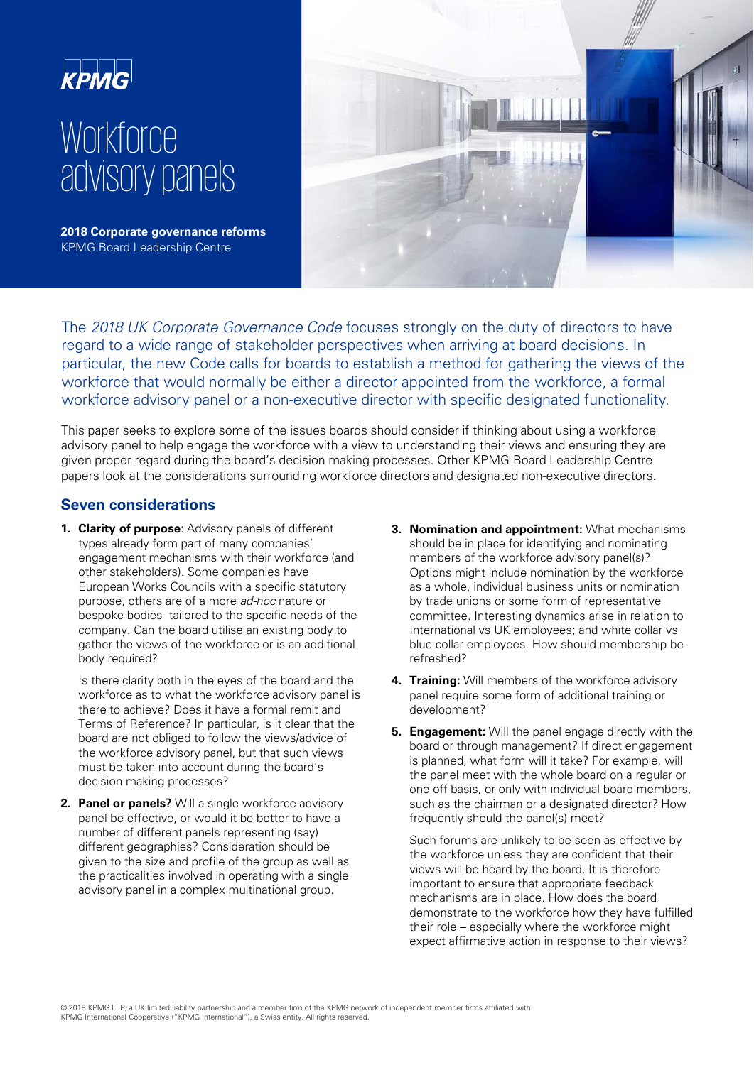

## **Workforce** advisory panels

**2018 Corporate governance reforms**  KPMG Board Leadership Centre



The 2018 UK Corporate Governance Code focuses strongly on the duty of directors to have regard to a wide range of stakeholder perspectives when arriving at board decisions. In particular, the new Code calls for boards to establish a method for gathering the views of the workforce that would normally be either a director appointed from the workforce, a formal workforce advisory panel or a non-executive director with specific designated functionality.

This paper seeks to explore some of the issues boards should consider if thinking about using a workforce advisory panel to help engage the workforce with a view to understanding their views and ensuring they are given proper regard during the board's decision making processes. Other KPMG Board Leadership Centre papers look at the considerations surrounding workforce directors and designated non-executive directors.

## **Seven considerations**

**1. Clarity of purpose**: Advisory panels of different types already form part of many companies' engagement mechanisms with their workforce (and other stakeholders). Some companies have European Works Councils with a specific statutory purpose, others are of a more ad-hoc nature or bespoke bodies tailored to the specific needs of the company. Can the board utilise an existing body to gather the views of the workforce or is an additional body required?

Is there clarity both in the eyes of the board and the workforce as to what the workforce advisory panel is there to achieve? Does it have a formal remit and Terms of Reference? In particular, is it clear that the board are not obliged to follow the views/advice of the workforce advisory panel, but that such views must be taken into account during the board's decision making processes?

**2. Panel or panels?** Will a single workforce advisory panel be effective, or would it be better to have a number of different panels representing (say) different geographies? Consideration should be given to the size and profile of the group as well as the practicalities involved in operating with a single advisory panel in a complex multinational group.

- **3. Nomination and appointment:** What mechanisms should be in place for identifying and nominating members of the workforce advisory panel(s)? Options might include nomination by the workforce as a whole, individual business units or nomination by trade unions or some form of representative committee. Interesting dynamics arise in relation to International vs UK employees; and white collar vs blue collar employees. How should membership be refreshed?
- **4. Training:** Will members of the workforce advisory panel require some form of additional training or development?
- **5. Engagement:** Will the panel engage directly with the board or through management? If direct engagement is planned, what form will it take? For example, will the panel meet with the whole board on a regular or one-off basis, or only with individual board members, such as the chairman or a designated director? How frequently should the panel(s) meet?

Such forums are unlikely to be seen as effective by the workforce unless they are confident that their views will be heard by the board. It is therefore important to ensure that appropriate feedback mechanisms are in place. How does the board demonstrate to the workforce how they have fulfilled their role – especially where the workforce might expect affirmative action in response to their views?